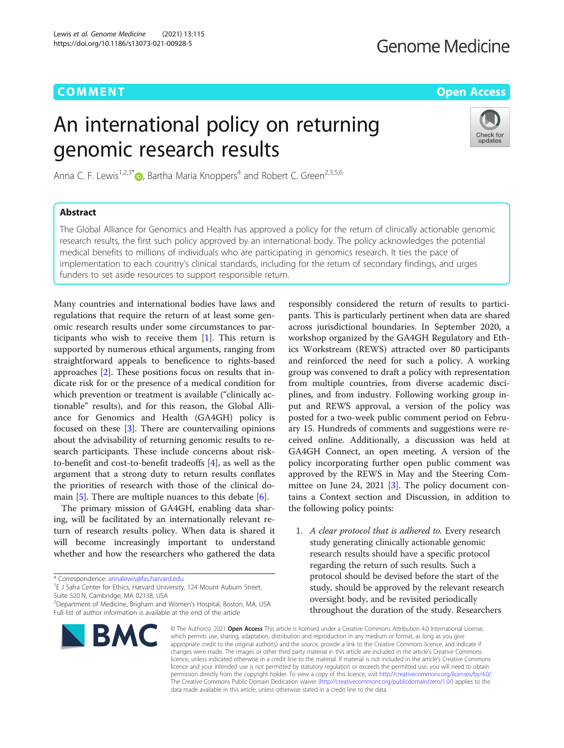## **Genome Medicine**

**COMMENT COMMENT COMMENT COMMENT** 

# An international policy on returning genomic research results



Anna C. F. Lewis<sup>1,2,3[\\*](http://orcid.org/0000-0002-1274-386X)</sup> $\bullet$ , Bartha Maria Knoppers<sup>4</sup> and Robert C. Green<sup>2,3,5,6</sup>

## Abstract

The Global Alliance for Genomics and Health has approved a policy for the return of clinically actionable genomic research results, the first such policy approved by an international body. The policy acknowledges the potential medical benefits to millions of individuals who are participating in genomics research. It ties the pace of implementation to each country's clinical standards, including for the return of secondary findings, and urges funders to set aside resources to support responsible return.

Many countries and international bodies have laws and regulations that require the return of at least some genomic research results under some circumstances to participants who wish to receive them [\[1\]](#page-2-0). This return is supported by numerous ethical arguments, ranging from straightforward appeals to beneficence to rights-based approaches [\[2](#page-2-0)]. These positions focus on results that indicate risk for or the presence of a medical condition for which prevention or treatment is available ("clinically actionable" results), and for this reason, the Global Alliance for Genomics and Health (GA4GH) policy is focused on these [\[3](#page-2-0)]. There are countervailing opinions about the advisability of returning genomic results to research participants. These include concerns about riskto-benefit and cost-to-benefit tradeoffs [\[4](#page-2-0)], as well as the argument that a strong duty to return results conflates the priorities of research with those of the clinical domain [\[5](#page-2-0)]. There are multiple nuances to this debate [[6\]](#page-2-0).

The primary mission of GA4GH, enabling data sharing, will be facilitated by an internationally relevant return of research results policy. When data is shared it will become increasingly important to understand whether and how the researchers who gathered the data

<sup>1</sup>E J Safra Center for Ethics, Harvard University, 124 Mount Auburn Street, Suite 520 N, Cambridge, MA 02138, USA

<sup>2</sup> Department of Medicine, Brigham and Women's Hospital, Boston, MA, USA Full list of author information is available at the end of the article



responsibly considered the return of results to participants. This is particularly pertinent when data are shared across jurisdictional boundaries. In September 2020, a workshop organized by the GA4GH Regulatory and Ethics Workstream (REWS) attracted over 80 participants and reinforced the need for such a policy. A working group was convened to draft a policy with representation from multiple countries, from diverse academic disciplines, and from industry. Following working group input and REWS approval, a version of the policy was posted for a two-week public comment period on February 15. Hundreds of comments and suggestions were received online. Additionally, a discussion was held at GA4GH Connect, an open meeting. A version of the policy incorporating further open public comment was approved by the REWS in May and the Steering Committee on June 24, 2021  $[3]$  $[3]$ . The policy document contains a Context section and Discussion, in addition to the following policy points:

1. A clear protocol that is adhered to. Every research study generating clinically actionable genomic research results should have a specific protocol regarding the return of such results. Such a protocol should be devised before the start of the study, should be approved by the relevant research oversight body, and be revisited periodically throughout the duration of the study. Researchers

© The Author(s), 2021 **Open Access** This article is licensed under a Creative Commons Attribution 4.0 International License, which permits use, sharing, adaptation, distribution and reproduction in any medium or format, as long as you give appropriate credit to the original author(s) and the source, provide a link to the Creative Commons licence, and indicate if changes were made. The images or other third party material in this article are included in the article's Creative Commons licence, unless indicated otherwise in a credit line to the material. If material is not included in the article's Creative Commons licence and your intended use is not permitted by statutory regulation or exceeds the permitted use, you will need to obtain permission directly from the copyright holder. To view a copy of this licence, visit [http://creativecommons.org/licenses/by/4.0/.](http://creativecommons.org/licenses/by/4.0/) The Creative Commons Public Domain Dedication waiver [\(http://creativecommons.org/publicdomain/zero/1.0/](http://creativecommons.org/publicdomain/zero/1.0/)) applies to the data made available in this article, unless otherwise stated in a credit line to the data.

<sup>\*</sup> Correspondence: [annalewis@fas.harvard.edu](mailto:annalewis@fas.harvard.edu) <sup>1</sup>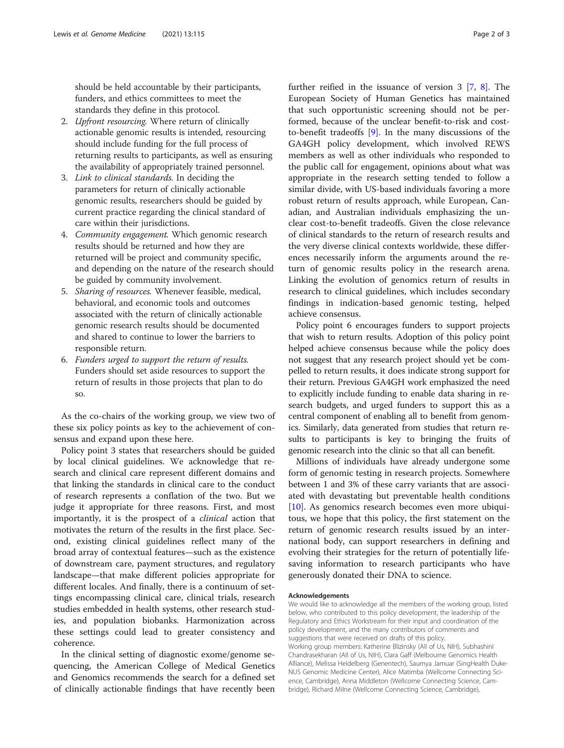should be held accountable by their participants, funders, and ethics committees to meet the standards they define in this protocol.

- 2. *Upfront resourcing*. Where return of clinically actionable genomic results is intended, resourcing should include funding for the full process of returning results to participants, as well as ensuring the availability of appropriately trained personnel.
- 3. Link to clinical standards. In deciding the parameters for return of clinically actionable genomic results, researchers should be guided by current practice regarding the clinical standard of care within their jurisdictions.
- 4. Community engagement. Which genomic research results should be returned and how they are returned will be project and community specific, and depending on the nature of the research should be guided by community involvement.
- 5. Sharing of resources. Whenever feasible, medical, behavioral, and economic tools and outcomes associated with the return of clinically actionable genomic research results should be documented and shared to continue to lower the barriers to responsible return.
- 6. Funders urged to support the return of results. Funders should set aside resources to support the return of results in those projects that plan to do so.

As the co-chairs of the working group, we view two of these six policy points as key to the achievement of consensus and expand upon these here.

Policy point 3 states that researchers should be guided by local clinical guidelines. We acknowledge that research and clinical care represent different domains and that linking the standards in clinical care to the conduct of research represents a conflation of the two. But we judge it appropriate for three reasons. First, and most importantly, it is the prospect of a clinical action that motivates the return of the results in the first place. Second, existing clinical guidelines reflect many of the broad array of contextual features—such as the existence of downstream care, payment structures, and regulatory landscape—that make different policies appropriate for different locales. And finally, there is a continuum of settings encompassing clinical care, clinical trials, research studies embedded in health systems, other research studies, and population biobanks. Harmonization across these settings could lead to greater consistency and coherence.

In the clinical setting of diagnostic exome/genome sequencing, the American College of Medical Genetics and Genomics recommends the search for a defined set of clinically actionable findings that have recently been

further reified in the issuance of version 3 [[7,](#page-2-0) [8](#page-2-0)]. The European Society of Human Genetics has maintained that such opportunistic screening should not be performed, because of the unclear benefit-to-risk and costto-benefit tradeoffs [[9\]](#page-2-0). In the many discussions of the GA4GH policy development, which involved REWS members as well as other individuals who responded to the public call for engagement, opinions about what was appropriate in the research setting tended to follow a similar divide, with US-based individuals favoring a more robust return of results approach, while European, Canadian, and Australian individuals emphasizing the unclear cost-to-benefit tradeoffs. Given the close relevance of clinical standards to the return of research results and the very diverse clinical contexts worldwide, these differences necessarily inform the arguments around the return of genomic results policy in the research arena. Linking the evolution of genomics return of results in research to clinical guidelines, which includes secondary findings in indication-based genomic testing, helped achieve consensus.

Policy point 6 encourages funders to support projects that wish to return results. Adoption of this policy point helped achieve consensus because while the policy does not suggest that any research project should yet be compelled to return results, it does indicate strong support for their return. Previous GA4GH work emphasized the need to explicitly include funding to enable data sharing in research budgets, and urged funders to support this as a central component of enabling all to benefit from genomics. Similarly, data generated from studies that return results to participants is key to bringing the fruits of genomic research into the clinic so that all can benefit.

Millions of individuals have already undergone some form of genomic testing in research projects. Somewhere between 1 and 3% of these carry variants that are associated with devastating but preventable health conditions [[10\]](#page-2-0). As genomics research becomes even more ubiquitous, we hope that this policy, the first statement on the return of genomic research results issued by an international body, can support researchers in defining and evolving their strategies for the return of potentially lifesaving information to research participants who have generously donated their DNA to science.

#### Acknowledgements

We would like to acknowledge all the members of the working group, listed below, who contributed to this policy development, the leadership of the Regulatory and Ethics Workstream for their input and coordination of the policy development, and the many contributors of comments and suggestions that were received on drafts of this policy. Working group members: Katherine Blizinsky (All of Us, NIH), Subhashini Chandrasekharan (All of Us, NIH), Clara Gaff (Melbourne Genomics Health Alliance), Melissa Heidelberg (Genentech), Saumya Jamuar (SingHealth Duke-NUS Genomic Medicine Center), Alice Matimba (Wellcome Connecting Science, Cambridge), Anna Middleton (Wellcome Connecting Science, Cambridge), Richard Milne (Wellcome Connecting Science, Cambridge),